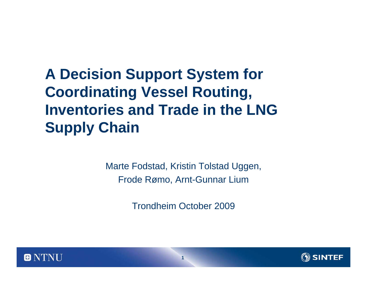### **A Decision Support System for Coordinating Vessel Routing, Inventories and Trade in the LNG Supply Chain**

Marte Fodstad, Kristin Tolstad Uggen, Frode Rømo, Arnt-Gunnar Lium

Trondheim October 2009



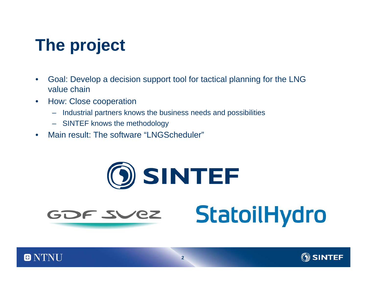# **The project**

- • Goal: Develop a decision support tool for tactical planning for the LNG value chain
- • How: Close cooperation
	- Industrial partners knows the business needs and possibilities
	- SINTEF knows the methodology
- •Main result: The software "LNGScheduler"

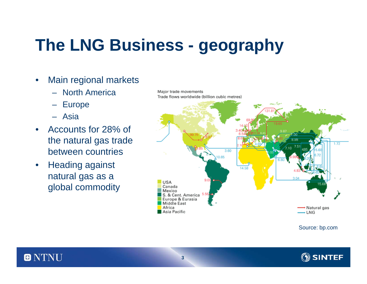# **The LNG Business - geography**

- $\bullet$  Main regional markets
	- North America
	- Europe
	- Asia
- • Accounts for 28% of the natural gas trade between countries
- • Heading against natural gas as a global commodity

Major trade movements Trade flows worldwide (billion cubic metres) 1.72 3.60 0.85 14.53 **USA** Canada Mexico S. & Cent. America Europe & Eurasia Middle East Africa → Natural gas Asia Pacific → LNG

Source: bp.com

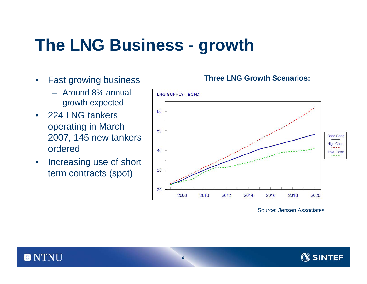## **The LNG Business - growth**

- $\bullet$  Fast growing business
	- Around 8% annual growth expected
- 224 LNG tankers operating in March 2007, 145 new tankers ordered
- • Increasing use of short term contracts (spot)

#### **Three LNG Growth Scenarios:**



Source: Jensen Associates

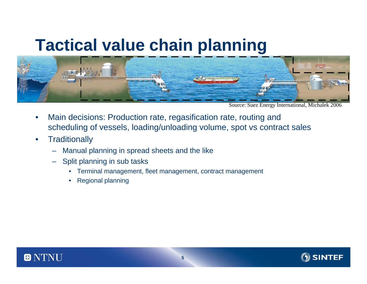### **Tactical value chain planning**



Source: Suez Energy International, Michalek 2006

- • Main decisions: Production rate, regasification rate, routing and scheduling of vessels, loading/unloading volume, spot vs contract sales
- •**Traditionally** 
	- Manual planning in spread sheets and the like
	- – Split planning in sub tasks
		- •Terminal management, fleet management, contract management
		- •Regional planning



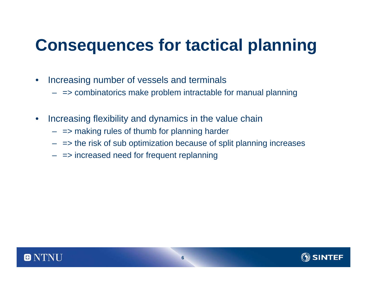## **Consequences for tactical planning**

- $\bullet$  Increasing number of vessels and terminals
	- => combinatorics make problem intractable for manual planning
- • Increasing flexibility and dynamics in the value chain
	- => making rules of thumb for planning harder
	- => the risk of sub optimization because of split planning increases
	- => increased need for frequent replanning

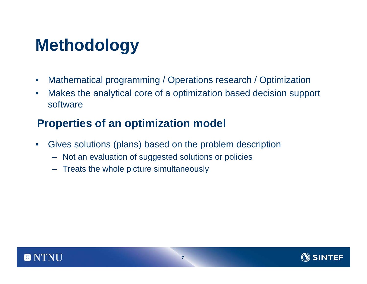## **Methodology**

- $\bullet$ Mathematical programming / Operations research / Optimization
- $\bullet$  Makes the analytical core of a optimization based decision support software

#### **Properties of an optimization model**

- • Gives solutions (plans) based on the problem description
	- Not an evaluation of suggested solutions or policies
	- Treats the whole picture simultaneously



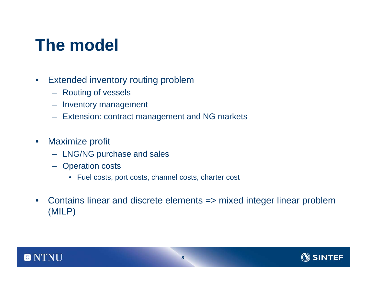## **The model**

- $\bullet$  Extended inventory routing problem
	- Routing of vessels
	- Inventory management
	- Extension: contract management and NG markets
- $\bullet$  Maximize profit
	- LNG/NG purchase and sales
	- Operation costs
		- Fuel costs, port costs, channel costs, charter cost
- $\bullet$  Contains linear and discrete elements => mixed integer linear problem (MILP)



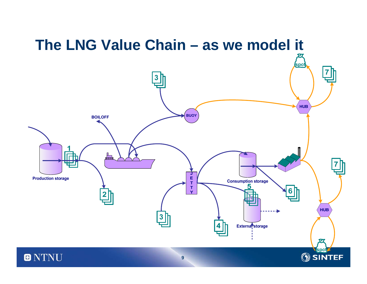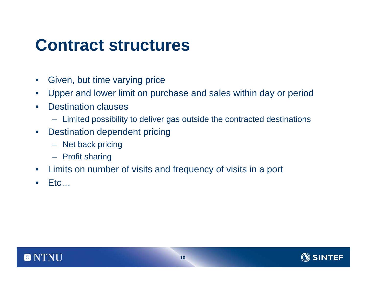### **Contract structures**

- $\bullet$ Given, but time varying price
- $\bullet$ Upper and lower limit on purchase and sales within day or period
- $\bullet$  Destination clauses
	- Limited possibility to deliver gas outside the contracted destinations
- $\bullet$  Destination dependent pricing
	- Net back pricing
	- Profit sharing
- •Limits on number of visits and frequency of visits in a port
- •Etc…

 $\blacksquare$ 



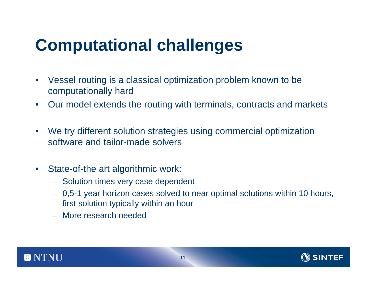## **Computational challenges**

- $\bullet$  Vessel routing is a classical optimization problem known to be computationally hard
- $\bullet$ Our model extends the routing with terminals, contracts and markets
- $\bullet$  We try different solution strategies using commercial optimization software and tailor-made solvers
- $\bullet$  State-of-the art algorithmic work:
	- Solution times very case dependent
	- 0,5-1 year horizon cases solved to near optimal solutions within 10 hours, first solution typically within an hour
	- More research needed



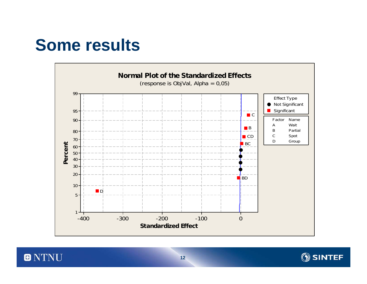## **Some results**





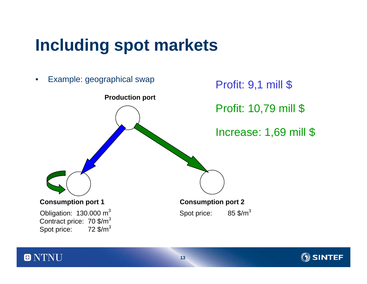## **Including spot markets**

 $\blacksquare$ 



ΈF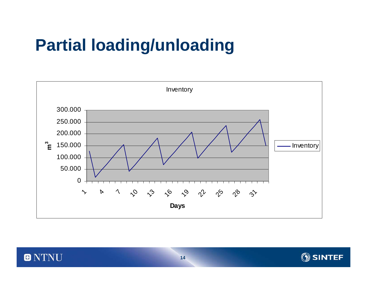## **Partial loading/unloading**

0



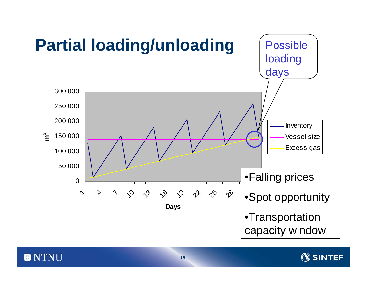



 $\blacksquare$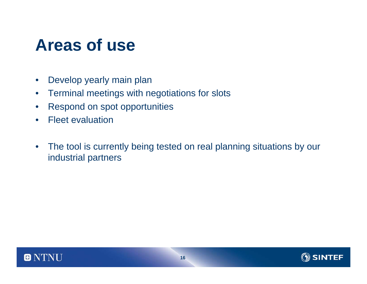## **Areas of use**

- $\bullet$ Develop yearly main plan
- $\bullet$ Terminal meetings with negotiations for slots
- $\bullet$ Respond on spot opportunities
- $\bullet$ Fleet evaluation
- $\bullet$  The tool is currently being tested on real planning situations by our industrial partners



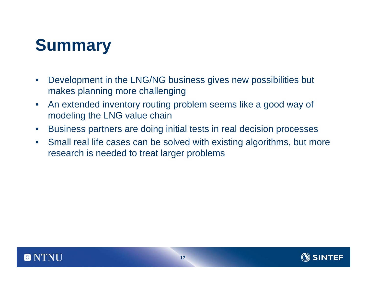## **Summary**

- $\bullet$  Development in the LNG/NG business gives new possibilities but makes planning more challenging
- $\bullet$  An extended inventory routing problem seems like a good way of modeling the LNG value chain
- •Business partners are doing initial tests in real decision processes
- $\bullet$  Small real life cases can be solved with existing algorithms, but more research is needed to treat larger problems